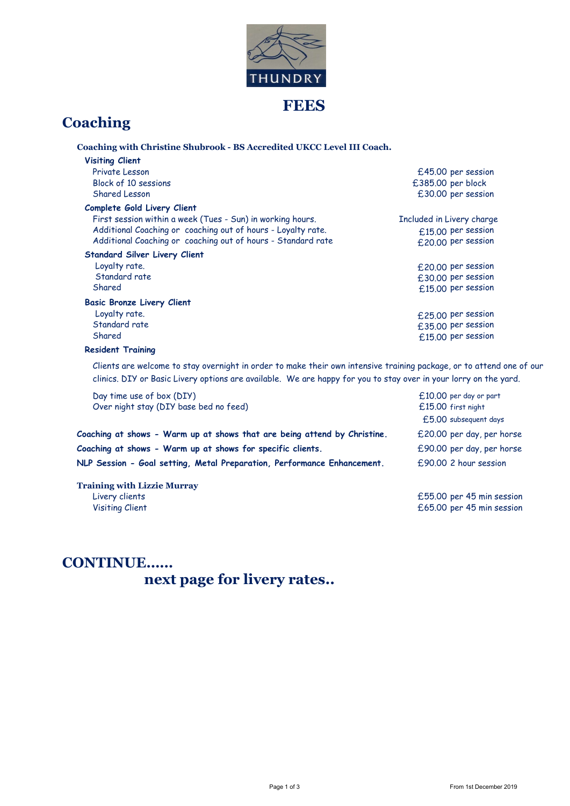

# **Coaching**

| Coaching with Christine Shubrook - BS Accredited UKCC Level III Coach.                                                                                                                                                                   |                           |
|------------------------------------------------------------------------------------------------------------------------------------------------------------------------------------------------------------------------------------------|---------------------------|
| <b>Visiting Client</b>                                                                                                                                                                                                                   |                           |
| Private Lesson                                                                                                                                                                                                                           | £45.00 per session        |
| Block of 10 sessions                                                                                                                                                                                                                     | £385.00 per block         |
| Shared Lesson                                                                                                                                                                                                                            | £30.00 per session        |
| Complete Gold Livery Client                                                                                                                                                                                                              |                           |
| First session within a week (Tues - Sun) in working hours.                                                                                                                                                                               | Included in Livery charge |
| Additional Coaching or coaching out of hours - Loyalty rate.                                                                                                                                                                             | £15.00 per session        |
| Additional Coaching or coaching out of hours - Standard rate                                                                                                                                                                             | £20.00 per session        |
| <b>Standard Silver Livery Client</b>                                                                                                                                                                                                     |                           |
| Loyalty rate.                                                                                                                                                                                                                            | £20.00 per session        |
| Standard rate                                                                                                                                                                                                                            | £30.00 per session        |
| Shared                                                                                                                                                                                                                                   | £15.00 per session        |
| <b>Basic Bronze Livery Client</b>                                                                                                                                                                                                        |                           |
| Loyalty rate.                                                                                                                                                                                                                            | £25.00 per session        |
| Standard rate                                                                                                                                                                                                                            | £35.00 per session        |
| Shared                                                                                                                                                                                                                                   | £15.00 per session        |
| <b>Resident Training</b>                                                                                                                                                                                                                 |                           |
| Clients are welcome to stay overnight in order to make their own intensive training package, or to attend one of our<br>clinics. DIY or Basic Livery options are available. We are happy for you to stay over in your lorry on the yard. |                           |

| Day time use of box (DIY)<br>Over night stay (DIY base bed no feed)      | $£10.00$ per day or part<br>£15.00 first night |
|--------------------------------------------------------------------------|------------------------------------------------|
|                                                                          | $£5.00$ subsequent days                        |
| Coaching at shows - Warm up at shows that are being attend by Christine. | £20.00 per day, per horse                      |
| Coaching at shows - Warm up at shows for specific clients.               | £90.00 per day, per horse                      |
| NLP Session - Goal setting, Metal Preparation, Performance Enhancement.  | £90.00 2 hour session                          |
|                                                                          |                                                |

Training with Lizzie Murray Livery clients £55.00 per 45 min session Visiting Client **E65.00** per 45 min session

## CONTINUE…… next page for livery rates..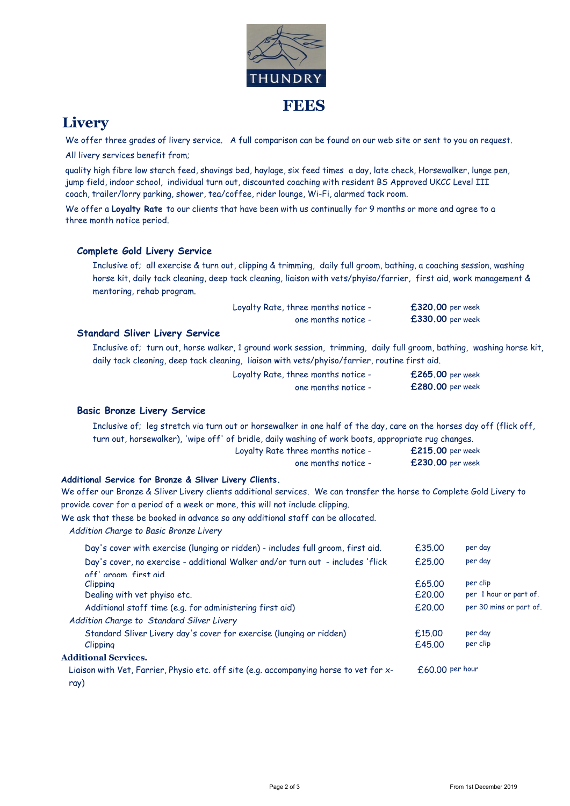

## **Livery**

We offer three grades of livery service. A full comparison can be found on our web site or sent to you on request. All livery services benefit from;

quality high fibre low starch feed, shavings bed, haylage, six feed times a day, late check, Horsewalker, lunge pen, jump field, indoor school, individual turn out, discounted coaching with resident BS Approved UKCC Level III coach, trailer/lorry parking, shower, tea/coffee, rider lounge, Wi-Fi, alarmed tack room.

We offer a Loyalty Rate to our clients that have been with us continually for 9 months or more and agree to a three month notice period.

#### Complete Gold Livery Service

Inclusive of; all exercise & turn out, clipping & trimming, daily full groom, bathing, a coaching session, washing horse kit, daily tack cleaning, deep tack cleaning, liaison with vets/phyiso/farrier, first aid, work management & mentoring, rehab program.

| Loyalty Rate, three months notice - | $£320.00$ per week |
|-------------------------------------|--------------------|
| one months notice -                 | £330.00 per week   |

#### Standard Sliver Livery Service

Inclusive of; turn out, horse walker, 1 ground work session, trimming, daily full groom, bathing, washing horse kit, daily tack cleaning, deep tack cleaning, liaison with vets/phyiso/farrier, routine first aid.

| Loyalty Rate, three months notice - | £265.00 per week |
|-------------------------------------|------------------|
| one months notice -                 | £280.00 per week |

#### Basic Bronze Livery Service

Loyalty Rate three months notice - **£215.00** per week Inclusive of; leg stretch via turn out or horsewalker in one half of the day, care on the horses day off (flick off, turn out, horsewalker), 'wipe off' of bridle, daily washing of work boots, appropriate rug changes.

| one months notice - | £230.00 per week |
|---------------------|------------------|

#### Additional Service for Bronze & Sliver Livery Clients.

We offer our Bronze & Sliver Livery clients additional services. We can transfer the horse to Complete Gold Livery to provide cover for a period of a week or more, this will not include clipping.

We ask that these be booked in advance so any additional staff can be allocated.

Addition Charge to Basic Bronze Livery

| Day's cover with exercise (lunging or ridden) - includes full groom, first aid.                | £35.00          | per day                 |
|------------------------------------------------------------------------------------------------|-----------------|-------------------------|
| Day's cover, no exercise - additional Walker and/or turn out - includes 'flick                 | f.25.00         | per day                 |
| off' aroom first aid                                                                           |                 |                         |
| Clipping                                                                                       | f.65.00         | per clip                |
| Dealing with vet phyiso etc.                                                                   | £20.00          | per 1 hour or part of.  |
| Additional staff time (e.g. for administering first aid)                                       | £20.00          | per 30 mins or part of. |
| Addition Charge to Standard Silver Livery                                                      |                 |                         |
| Standard Sliver Livery day's cover for exercise (lunging or ridden)                            | £15.00          | per day                 |
| Clipping                                                                                       | £45.00          | per clip                |
| <b>Additional Services.</b>                                                                    |                 |                         |
| Liaison with Vet, Farrier, Physio etc. off site (e.g. accompanying horse to vet for x-<br>ray) | £60.00 per hour |                         |